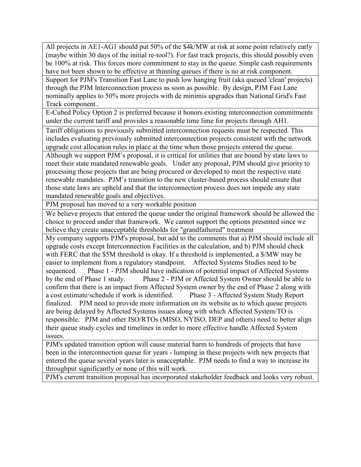All projects in AE1-AG1 should put 50% of the \$4k/MW at risk at some point relatively early (maybe within 30 days of the initial re-tool?). For fast track projects, this should possibly even be 100% at risk. This forces more commitment to stay in the queue. Simple cash requirements have not been shown to be effective at thinning queues if there is no at risk component.

Support for PJM's Transition Fast Lane to push low hanging fruit (aka queued 'clean' projects) through the PJM Interconnection process as soon as possible. By design, PJM Fast Lane nominally applies to 50% more projects with de minimis upgrades than National Grid's Fast Track component..

E-Cubed Policy Option 2 is preferred because it honors existing interconnection commitments under the current tariff and provides a reasonable time lime for projects through AH1.

Tariff obligations to previously submitted interconnection requests must be respected. This includes evaluating previously submitted interconnection projects consistent with the network upgrade cost allocation rules in place at the time when those projects entered the queue.

Although we support PJM's proposal, it is critical for utilities that are bound by state laws to meet their state mandated renewable goals. Under any proposal, PJM should give priority to processing those projects that are being procured or developed to meet the respective state renewable mandates. PJM's transition to the new cluster-based process should ensure that those state laws are upheld and that the interconnection process does not impede any state mandated renewable goals and objectives.

PJM proposal has moved to a very workable position

We believe projects that entered the queue under the original framework should be allowed the choice to proceed under that framework. We cannot support the options presented since we believe they create unacceptable thresholds for "grandfathered" treatment

My company supports PJM's proposal, but add to the comments that a) PJM should include all upgrade costs except Interconnection Facilities in the calculation, and b) PJM should check with FERC that the \$5M threshold is okay. If a threshold is implemented, a \$/MW may be easier to implement from a regulatory standpoint. Affected Systems Studies need to be sequenced. Phase 1 - PJM should have indication of potential impact of Affected Systems by the end of Phase 1 study. Phase 2 - PJM or Affected System Owner should be able to confirm that there is an impact from Affected System owner by the end of Phase 2 along with a cost estimate/schedule if work is identified. Phase 3 - Affected System Study Report finalized. PJM need to provide more information on its website as to which queue projects are being delayed by Affected Systems issues along with which Affected System/TO is responsible. PJM and other ISO/RTOs (MISO, NYISO, DEP and others) need to better align their queue study cycles and timelines in order to more effective handle Affected System issues.

PJM's updated transition option will cause material harm to hundreds of projects that have been in the interconnection queue for years - lumping in these projects with new projects that entered the queue several years later is unacceptable. PJM needs to find a way to increase its throughput significantly or none of this will work.

PJM's current transition proposal has incorporated stakeholder feedback and looks very robust.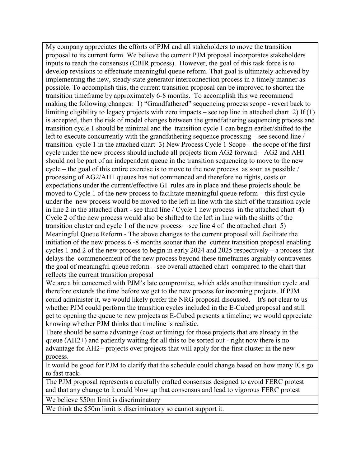My company appreciates the efforts of PJM and all stakeholders to move the transition proposal to its current form. We believe the current PJM proposal incorporates stakeholders inputs to reach the consensus (CBIR process). However, the goal of this task force is to develop revisions to effectuate meaningful queue reform. That goal is ultimately achieved by implementing the new, steady state generator interconnection process in a timely manner as possible. To accomplish this, the current transition proposal can be improved to shorten the transition timeframe by approximately 6-8 months. To accomplish this we recommend making the following changes: 1) "Grandfathered" sequencing process scope - revert back to limiting eligibility to legacy projects with zero impacts – see top line in attached chart 2) If  $(1)$ is accepted, then the risk of model changes between the grandfathering sequencing process and transition cycle 1 should be minimal and the transition cycle 1 can begin earlier/shifted to the left to execute concurrently with the grandfathering sequence processing – see second line / transition cycle 1 in the attached chart 3) New Process Cycle 1 Scope – the scope of the first cycle under the new process should include all projects from AG2 forward – AG2 and AH1 should not be part of an independent queue in the transition sequencing to move to the new cycle – the goal of this entire exercise is to move to the new process as soon as possible / processing of AG2/AH1 queues has not commenced and therefore no rights, costs or expectations under the current/effective GI rules are in place and these projects should be moved to Cycle 1 of the new process to facilitate meaningful queue reform – this first cycle under the new process would be moved to the left in line with the shift of the transition cycle in line 2 in the attached chart - see third line / Cycle 1 new process in the attached chart 4) Cycle 2 of the new process would also be shifted to the left in line with the shifts of the transition cluster and cycle 1 of the new process – see line 4 of the attached chart 5) Meaningful Queue Reform - The above changes to the current proposal will facilitate the initiation of the new process 6 -8 months sooner than the current transition proposal enabling cycles 1 and 2 of the new process to begin in early 2024 and 2025 respectively – a process that delays the commencement of the new process beyond these timeframes arguably contravenes the goal of meaningful queue reform – see overall attached chart compared to the chart that reflects the current transition proposal

We are a bit concerned with PJM's late compromise, which adds another transition cycle and therefore extends the time before we get to the new process for incoming projects. If PJM could administer it, we would likely prefer the NRG proposal discussed. It's not clear to us whether PJM could perform the transition cycles included in the E-Cubed proposal and still get to opening the queue to new projects as E-Cubed presents a timeline; we would appreciate knowing whether PJM thinks that timeline is realistic.

There should be some advantage (cost or timing) for those projects that are already in the queue (AH2+) and patiently waiting for all this to be sorted out - right now there is no advantage for AH2+ projects over projects that will apply for the first cluster in the new process.

It would be good for PJM to clarify that the schedule could change based on how many ICs go to fast track.

The PJM proposal represents a carefully crafted consensus designed to avoid FERC protest and that any change to it could blow up that consensus and lead to vigorous FERC protest

We believe \$50m limit is discriminatory

We think the \$50m limit is discriminatory so cannot support it.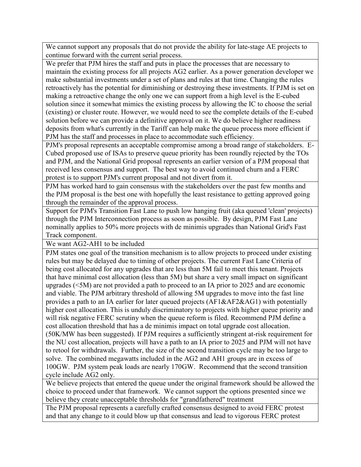We cannot support any proposals that do not provide the ability for late-stage AE projects to continue forward with the current serial process.

We prefer that PJM hires the staff and puts in place the processes that are necessary to maintain the existing process for all projects AG2 earlier. As a power generation developer we make substantial investments under a set of plans and rules at that time. Changing the rules retroactively has the potential for diminishing or destroying these investments. If PJM is set on making a retroactive change the only one we can support from a high level is the E-cubed solution since it somewhat mimics the existing process by allowing the IC to choose the serial (existing) or cluster route. However, we would need to see the complete details of the E-cubed solution before we can provide a definitive approval on it. We do believe higher readiness deposits from what's currently in the Tariff can help make the queue process more efficient if PJM has the staff and processes in place to accommodate such efficiency.

PJM's proposal represents an acceptable compromise among a broad range of stakeholders. E-Cubed proposed use of ISAs to preserve queue priority has been roundly rejected by the TOs and PJM, and the National Grid proposal represents an earlier version of a PJM proposal that received less consensus and support. The best way to avoid continued churn and a FERC protest is to support PJM's current proposal and not divert from it.

PJM has worked hard to gain consensus with the stakeholders over the past few months and the PJM proposal is the best one with hopefully the least resistance to getting approved going through the remainder of the approval process.

Support for PJM's Transition Fast Lane to push low hanging fruit (aka queued 'clean' projects) through the PJM Interconnection process as soon as possible. By design, PJM Fast Lane nominally applies to 50% more projects with de minimis upgrades than National Grid's Fast Track component.

We want AG2-AH1 to be included

PJM states one goal of the transition mechanism is to allow projects to proceed under existing rules but may be delayed due to timing of other projects. The current Fast Lane Criteria of being cost allocated for any upgrades that are less than 5M fail to meet this tenant. Projects that have minimal cost allocation (less than 5M) but share a very small impact on significant upgrades (<5M) are not provided a path to proceed to an IA prior to 2025 and are economic and viable. The PJM arbitrary threshold of allowing 5M upgrades to move into the fast line provides a path to an IA earlier for later queued projects (AF1&AF2&AG1) with potentially higher cost allocation. This is unduly discriminatory to projects with higher queue priority and will risk negative FERC scrutiny when the queue reform is filed. Recommend PJM define a cost allocation threshold that has a de minimis impact on total upgrade cost allocation. (50K/MW has been suggested). If PJM requires a sufficiently stringent at-risk requirement for the NU cost allocation, projects will have a path to an IA prior to 2025 and PJM will not have to retool for withdrawals. Further, the size of the second transition cycle may be too large to solve. The combined megawatts included in the AG2 and AH1 groups are in excess of 100GW. PJM system peak loads are nearly 170GW. Recommend that the second transition cycle include AG2 only.

We believe projects that entered the queue under the original framework should be allowed the choice to proceed under that framework. We cannot support the options presented since we believe they create unacceptable thresholds for "grandfathered" treatment

The PJM proposal represents a carefully crafted consensus designed to avoid FERC protest and that any change to it could blow up that consensus and lead to vigorous FERC protest